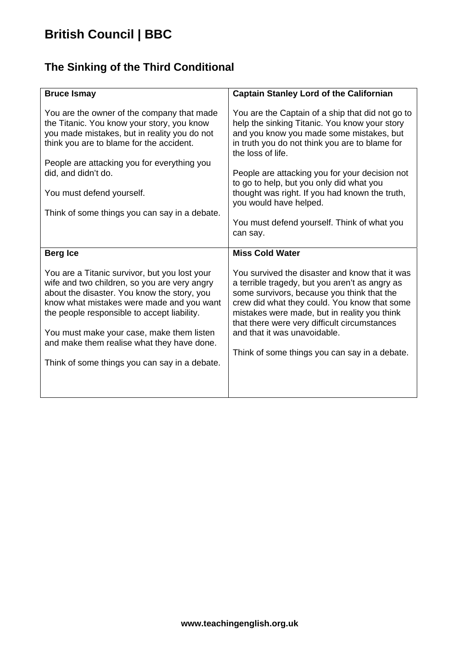# **British Council | BBC**

#### **The Sinking of the Third Conditional**

| <b>Bruce Ismay</b>                                                                                                                                                                                                                                                                                                                                                                   | <b>Captain Stanley Lord of the Californian</b>                                                                                                                                                                                                                                                                                                                                                                                                            |
|--------------------------------------------------------------------------------------------------------------------------------------------------------------------------------------------------------------------------------------------------------------------------------------------------------------------------------------------------------------------------------------|-----------------------------------------------------------------------------------------------------------------------------------------------------------------------------------------------------------------------------------------------------------------------------------------------------------------------------------------------------------------------------------------------------------------------------------------------------------|
| You are the owner of the company that made<br>the Titanic. You know your story, you know<br>you made mistakes, but in reality you do not<br>think you are to blame for the accident.<br>People are attacking you for everything you<br>did, and didn't do.<br>You must defend yourself.<br>Think of some things you can say in a debate.                                             | You are the Captain of a ship that did not go to<br>help the sinking Titanic. You know your story<br>and you know you made some mistakes, but<br>in truth you do not think you are to blame for<br>the loss of life.<br>People are attacking you for your decision not<br>to go to help, but you only did what you<br>thought was right. If you had known the truth,<br>you would have helped.<br>You must defend yourself. Think of what you<br>can say. |
| <b>Berg Ice</b>                                                                                                                                                                                                                                                                                                                                                                      | <b>Miss Cold Water</b>                                                                                                                                                                                                                                                                                                                                                                                                                                    |
| You are a Titanic survivor, but you lost your<br>wife and two children, so you are very angry<br>about the disaster. You know the story, you<br>know what mistakes were made and you want<br>the people responsible to accept liability.<br>You must make your case, make them listen<br>and make them realise what they have done.<br>Think of some things you can say in a debate. | You survived the disaster and know that it was<br>a terrible tragedy, but you aren't as angry as<br>some survivors, because you think that the<br>crew did what they could. You know that some<br>mistakes were made, but in reality you think<br>that there were very difficult circumstances<br>and that it was unavoidable.<br>Think of some things you can say in a debate.                                                                           |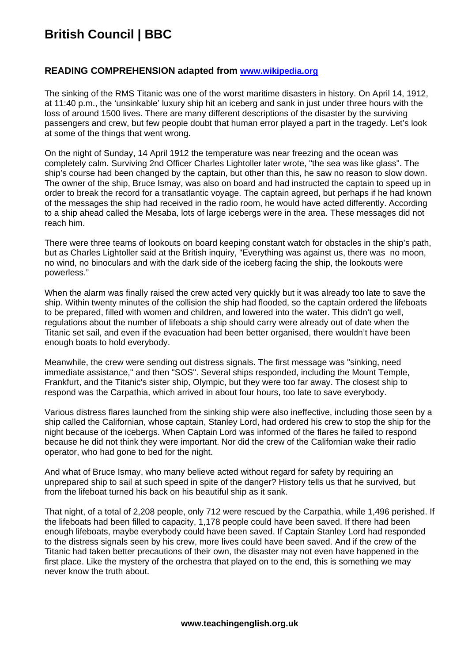### **British Council | BBC**

#### **READING COMPREHENSION adapted from [www.wikipedia.org](http://www.wikipedia.org/)**

The sinking of the RMS Titanic was one of the worst maritime disasters in history. On April 14, 1912, at 11:40 p.m., the 'unsinkable' luxury ship hit an iceberg and sank in just under three hours with the loss of around 1500 lives. There are many different descriptions of the disaster by the surviving passengers and crew, but few people doubt that human error played a part in the tragedy. Let's look at some of the things that went wrong.

On the night of Sunday, 14 April 1912 the temperature was near freezing and the ocean was completely calm. Surviving 2nd Officer Charles Lightoller later wrote, "the sea was like glass". The ship's course had been changed by the captain, but other than this, he saw no reason to slow down. The owner of the ship, Bruce Ismay, was also on board and had instructed the captain to speed up in order to break the record for a transatlantic voyage. The captain agreed, but perhaps if he had known of the messages the ship had received in the radio room, he would have acted differently. According to a ship ahead called the Mesaba, lots of large icebergs were in the area. These messages did not reach him.

There were three teams of lookouts on board keeping constant watch for obstacles in the ship's path, but as Charles Lightoller said at the British inquiry, "Everything was against us, there was no moon, no wind, no binoculars and with the dark side of the iceberg facing the ship, the lookouts were powerless."

When the alarm was finally raised the crew acted very quickly but it was already too late to save the ship. Within twenty minutes of the collision the ship had flooded, so the captain ordered the lifeboats to be prepared, filled with women and children, and lowered into the water. This didn't go well, regulations about the number of lifeboats a ship should carry were already out of date when the Titanic set sail, and even if the evacuation had been better organised, there wouldn't have been enough boats to hold everybody.

Meanwhile, the crew were sending out distress signals. The first message was "sinking, need immediate assistance," and then "SOS". Several ships responded, including the Mount Temple, Frankfurt, and the Titanic's sister ship, Olympic, but they were too far away. The closest ship to respond was the Carpathia, which arrived in about four hours, too late to save everybody.

Various distress flares launched from the sinking ship were also ineffective, including those seen by a ship called the Californian, whose captain, Stanley Lord, had ordered his crew to stop the ship for the night because of the icebergs. When Captain Lord was informed of the flares he failed to respond because he did not think they were important. Nor did the crew of the Californian wake their radio operator, who had gone to bed for the night.

And what of Bruce Ismay, who many believe acted without regard for safety by requiring an unprepared ship to sail at such speed in spite of the danger? History tells us that he survived, but from the lifeboat turned his back on his beautiful ship as it sank.

That night, of a total of 2,208 people, only 712 were rescued by the Carpathia, while 1,496 perished. If the lifeboats had been filled to capacity, 1,178 people could have been saved. If there had been enough lifeboats, maybe everybody could have been saved. If Captain Stanley Lord had responded to the distress signals seen by his crew, more lives could have been saved. And if the crew of the Titanic had taken better precautions of their own, the disaster may not even have happened in the first place. Like the mystery of the orchestra that played on to the end, this is something we may never know the truth about.